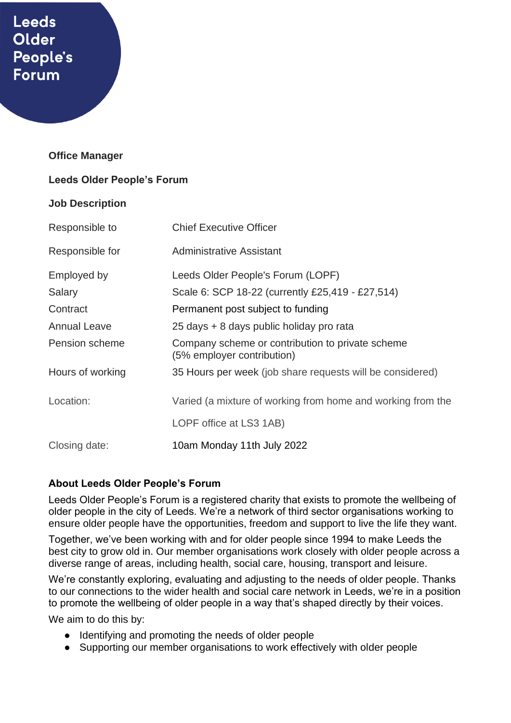# **Leeds** Older People's **Forum**

#### **Office Manager**

#### **Leeds Older People's Forum**

#### **Job Description**

| Responsible to      | <b>Chief Executive Officer</b>                                                 |
|---------------------|--------------------------------------------------------------------------------|
| Responsible for     | <b>Administrative Assistant</b>                                                |
| Employed by         | Leeds Older People's Forum (LOPF)                                              |
| Salary              | Scale 6: SCP 18-22 (currently £25,419 - £27,514)                               |
| Contract            | Permanent post subject to funding                                              |
| <b>Annual Leave</b> | 25 days + 8 days public holiday pro rata                                       |
| Pension scheme      | Company scheme or contribution to private scheme<br>(5% employer contribution) |
| Hours of working    | 35 Hours per week (job share requests will be considered)                      |
| Location:           | Varied (a mixture of working from home and working from the                    |
|                     | LOPF office at LS3 1AB)                                                        |
| Closing date:       | 10am Monday 11th July 2022                                                     |

#### **About Leeds Older People's Forum**

Leeds Older People's Forum is a registered charity that exists to promote the wellbeing of older people in the city of Leeds. We're a network of third sector organisations working to ensure older people have the opportunities, freedom and support to live the life they want.

Together, we've been working with and for older people since 1994 to make Leeds the best city to grow old in. Our member organisations work closely with older people across a diverse range of areas, including health, social care, housing, transport and leisure.

We're constantly exploring, evaluating and adjusting to the needs of older people. Thanks to our connections to the wider health and social care network in Leeds, we're in a position to promote the wellbeing of older people in a way that's shaped directly by their voices.

We aim to do this by:

- Identifying and promoting the needs of older people
- Supporting our member organisations to work effectively with older people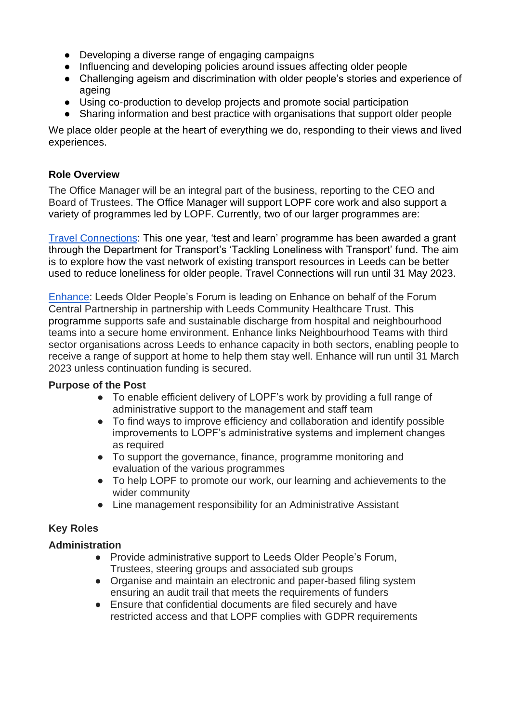- Developing a diverse range of engaging campaigns
- Influencing and developing policies around issues affecting older people
- Challenging ageism and discrimination with older people's stories and experience of ageing
- Using co-production to develop projects and promote social participation
- Sharing information and best practice with organisations that support older people

We place older people at the heart of everything we do, responding to their views and lived experiences.

## **Role Overview**

The Office Manager will be an integral part of the business, reporting to the CEO and Board of Trustees. The Office Manager will support LOPF core work and also support a variety of programmes led by LOPF. Currently, two of our larger programmes are:

[Travel Connections:](https://www.opforum.org.uk/projects-and-campaigns/travel-connections/) This one year, 'test and learn' programme has been awarded a grant through the Department for Transport's 'Tackling Loneliness with Transport' fund. The aim is to explore how the vast network of existing transport resources in Leeds can be better used to reduce loneliness for older people. Travel Connections will run until 31 May 2023.

[Enhance:](https://www.opforum.org.uk/projects-and-campaigns/enhance-programme/) Leeds Older People's Forum is leading on Enhance on behalf of the Forum Central Partnership in partnership with Leeds Community Healthcare Trust. This programme supports safe and sustainable discharge from hospital and neighbourhood teams into a secure home environment. Enhance links Neighbourhood Teams with third sector organisations across Leeds to enhance capacity in both sectors, enabling people to receive a range of support at home to help them stay well. Enhance will run until 31 March 2023 unless continuation funding is secured.

## **Purpose of the Post**

- To enable efficient delivery of LOPF's work by providing a full range of administrative support to the management and staff team
- To find ways to improve efficiency and collaboration and identify possible improvements to LOPF's administrative systems and implement changes as required
- To support the governance, finance, programme monitoring and evaluation of the various programmes
- To help LOPF to promote our work, our learning and achievements to the wider community
- Line management responsibility for an Administrative Assistant

# **Key Roles**

## **Administration**

- Provide administrative support to Leeds Older People's Forum, Trustees, steering groups and associated sub groups
- Organise and maintain an electronic and paper-based filing system ensuring an audit trail that meets the requirements of funders
- Ensure that confidential documents are filed securely and have restricted access and that LOPF complies with GDPR requirements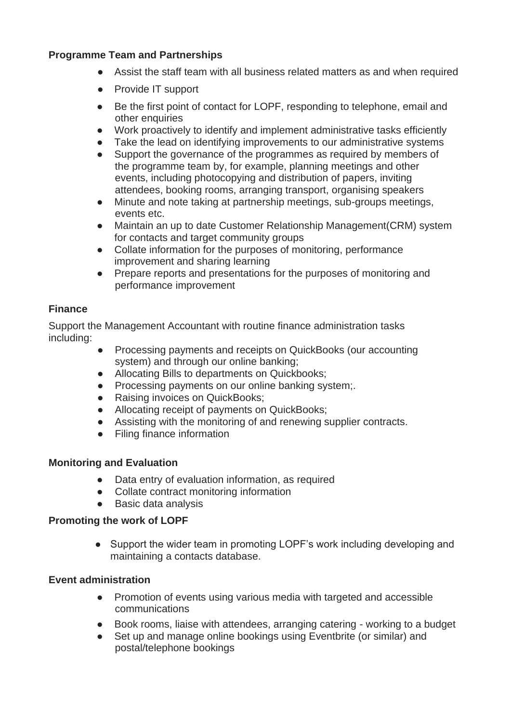## **Programme Team and Partnerships**

- Assist the staff team with all business related matters as and when required
- Provide IT support
- Be the first point of contact for LOPF, responding to telephone, email and other enquiries
- Work proactively to identify and implement administrative tasks efficiently
- Take the lead on identifying improvements to our administrative systems
- Support the governance of the programmes as required by members of the programme team by, for example, planning meetings and other events, including photocopying and distribution of papers, inviting attendees, booking rooms, arranging transport, organising speakers
- Minute and note taking at partnership meetings, sub-groups meetings, events etc.
- Maintain an up to date Customer Relationship Management(CRM) system for contacts and target community groups
- Collate information for the purposes of monitoring, performance improvement and sharing learning
- Prepare reports and presentations for the purposes of monitoring and performance improvement

### **Finance**

Support the Management Accountant with routine finance administration tasks including:

- Processing payments and receipts on QuickBooks (our accounting system) and through our online banking;
- Allocating Bills to departments on Quickbooks;
- Processing payments on our online banking system;
- Raising invoices on QuickBooks;
- Allocating receipt of payments on QuickBooks;
- Assisting with the monitoring of and renewing supplier contracts.
- Filing finance information

#### **Monitoring and Evaluation**

- Data entry of evaluation information, as required
- Collate contract monitoring information
- Basic data analysis

#### **Promoting the work of LOPF**

• Support the wider team in promoting LOPF's work including developing and maintaining a contacts database.

#### **Event administration**

- Promotion of events using various media with targeted and accessible communications
- Book rooms, liaise with attendees, arranging catering working to a budget
- Set up and manage online bookings using Eventbrite (or similar) and postal/telephone bookings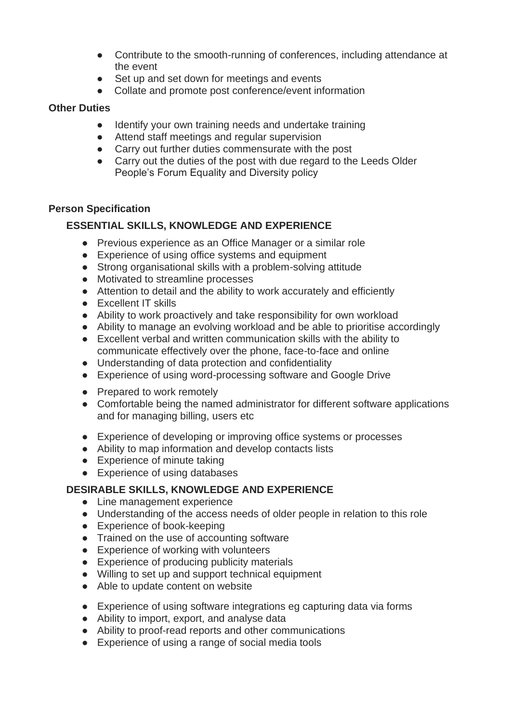- Contribute to the smooth-running of conferences, including attendance at the event
- Set up and set down for meetings and events
- Collate and promote post conference/event information

## **Other Duties**

- Identify your own training needs and undertake training
- Attend staff meetings and regular supervision
- Carry out further duties commensurate with the post
- Carry out the duties of the post with due regard to the Leeds Older People's Forum Equality and Diversity policy

## **Person Specification**

# **ESSENTIAL SKILLS, KNOWLEDGE AND EXPERIENCE**

- Previous experience as an Office Manager or a similar role
- Experience of using office systems and equipment
- Strong organisational skills with a problem-solving attitude
- Motivated to streamline processes
- Attention to detail and the ability to work accurately and efficiently
- Excellent IT skills
- Ability to work proactively and take responsibility for own workload
- Ability to manage an evolving workload and be able to prioritise accordingly
- Excellent verbal and written communication skills with the ability to communicate effectively over the phone, face-to-face and online
- Understanding of data protection and confidentiality
- Experience of using word-processing software and Google Drive
- Prepared to work remotely
- Comfortable being the named administrator for different software applications and for managing billing, users etc
- Experience of developing or improving office systems or processes
- Ability to map information and develop contacts lists
- Experience of minute taking
- Experience of using databases

# **DESIRABLE SKILLS, KNOWLEDGE AND EXPERIENCE**

- Line management experience
- Understanding of the access needs of older people in relation to this role
- Experience of book-keeping
- Trained on the use of accounting software
- Experience of working with volunteers
- Experience of producing publicity materials
- Willing to set up and support technical equipment
- Able to update content on website
- Experience of using software integrations eg capturing data via forms
- Ability to import, export, and analyse data
- Ability to proof-read reports and other communications
- Experience of using a range of social media tools